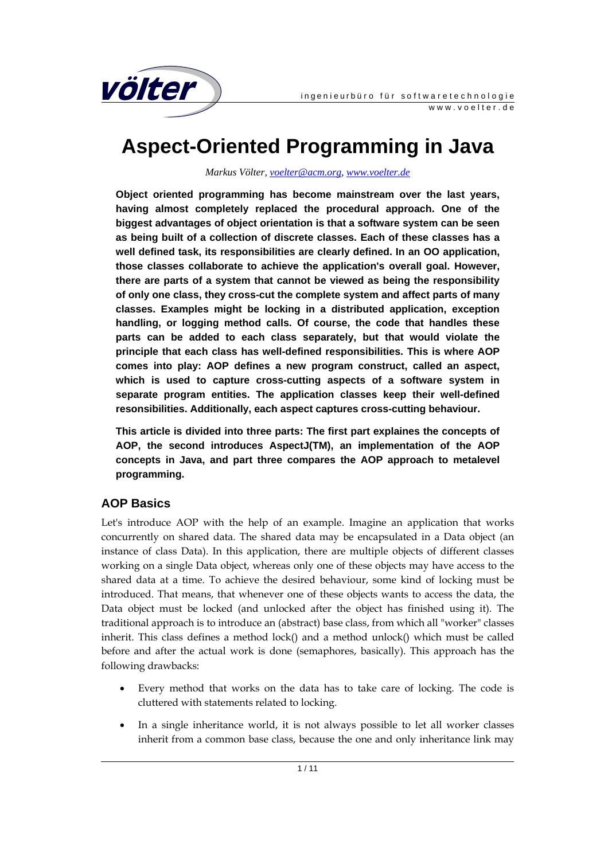

# **Aspect-Oriented Programming in Java**

*Markus Völter, voelter@acm.org, www.voelter.de*

**Object oriented programming has become mainstream over the last years, having almost completely replaced the procedural approach. One of the biggest advantages of object orientation is that a software system can be seen as being built of a collection of discrete classes. Each of these classes has a well defined task, its responsibilities are clearly defined. In an OO application, those classes collaborate to achieve the application's overall goal. However, there are parts of a system that cannot be viewed as being the responsibility of only one class, they cross-cut the complete system and affect parts of many classes. Examples might be locking in a distributed application, exception handling, or logging method calls. Of course, the code that handles these parts can be added to each class separately, but that would violate the principle that each class has well-defined responsibilities. This is where AOP comes into play: AOP defines a new program construct, called an aspect, which is used to capture cross-cutting aspects of a software system in separate program entities. The application classes keep their well-defined resonsibilities. Additionally, each aspect captures cross-cutting behaviour.** 

**This article is divided into three parts: The first part explaines the concepts of AOP, the second introduces AspectJ(TM), an implementation of the AOP concepts in Java, and part three compares the AOP approach to metalevel programming.** 

## **AOP Basics**

Let's introduce AOP with the help of an example. Imagine an application that works concurrently on shared data. The shared data may be encapsulated in a Data object (an instance of class Data). In this application, there are multiple objects of different classes working on a single Data object, whereas only one of these objects may have access to the shared data at a time. To achieve the desired behaviour, some kind of locking must be introduced. That means, that whenever one of these objects wants to access the data, the Data object must be locked (and unlocked after the object has finished using it). The traditional approach is to introduce an (abstract) base class, from which all "worker" classes inherit. This class defines a method lock() and a method unlock() which must be called before and after the actual work is done (semaphores, basically). This approach has the following drawbacks:

- Every method that works on the data has to take care of locking. The code is cluttered with statements related to locking.
- In a single inheritance world, it is not always possible to let all worker classes inherit from a common base class, because the one and only inheritance link may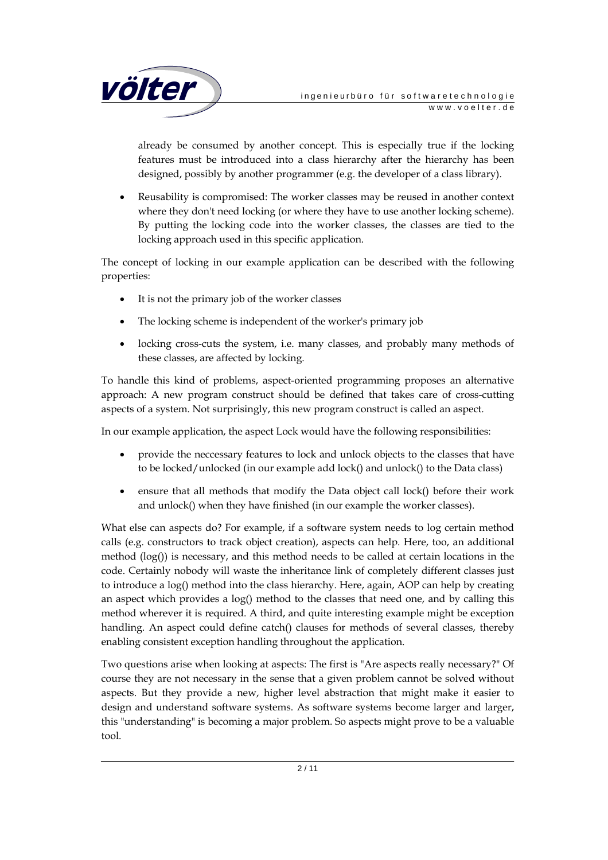

already be consumed by another concept. This is especially true if the locking features must be introduced into a class hierarchy after the hierarchy has been designed, possibly by another programmer (e.g. the developer of a class library).

• Reusability is compromised: The worker classes may be reused in another context where they don't need locking (or where they have to use another locking scheme). By putting the locking code into the worker classes, the classes are tied to the locking approach used in this specific application.

The concept of locking in our example application can be described with the following properties:

- It is not the primary job of the worker classes
- The locking scheme is independent of the worker's primary job
- locking cross-cuts the system, i.e. many classes, and probably many methods of these classes, are affected by locking.

To handle this kind of problems, aspect-oriented programming proposes an alternative approach: A new program construct should be defined that takes care of cross-cutting aspects of a system. Not surprisingly, this new program construct is called an aspect.

In our example application, the aspect Lock would have the following responsibilities:

- provide the neccessary features to lock and unlock objects to the classes that have to be locked/unlocked (in our example add lock() and unlock() to the Data class)
- ensure that all methods that modify the Data object call lock() before their work and unlock() when they have finished (in our example the worker classes).

What else can aspects do? For example, if a software system needs to log certain method calls (e.g. constructors to track object creation), aspects can help. Here, too, an additional method (log()) is necessary, and this method needs to be called at certain locations in the code. Certainly nobody will waste the inheritance link of completely different classes just to introduce a log() method into the class hierarchy. Here, again, AOP can help by creating an aspect which provides a  $log()$  method to the classes that need one, and by calling this method wherever it is required. A third, and quite interesting example might be exception handling. An aspect could define catch() clauses for methods of several classes, thereby enabling consistent exception handling throughout the application.

Two questions arise when looking at aspects: The first is "Are aspects really necessary?" Of course they are not necessary in the sense that a given problem cannot be solved without aspects. But they provide a new, higher level abstraction that might make it easier to design and understand software systems. As software systems become larger and larger, this "understanding" is becoming a major problem. So aspects might prove to be a valuable tool.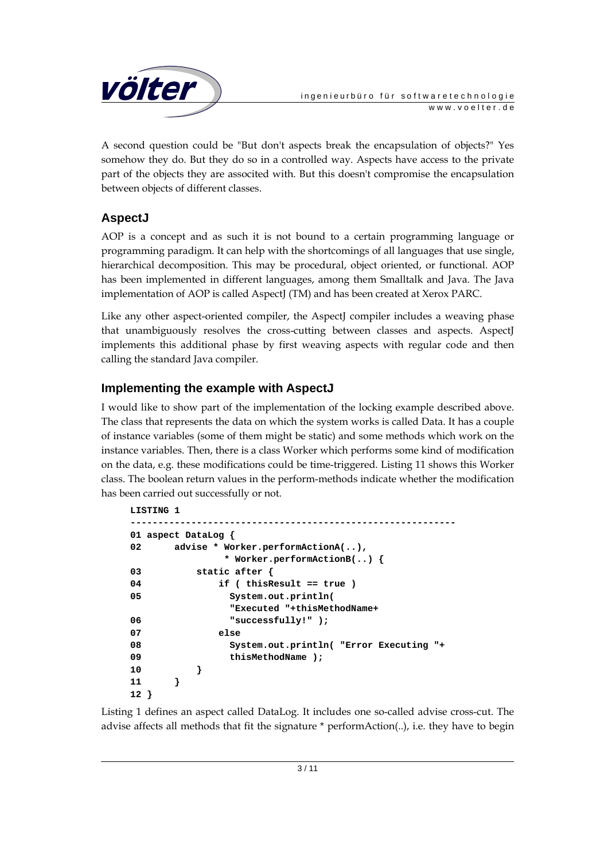

A second question could be "But don't aspects break the encapsulation of objects?" Yes somehow they do. But they do so in a controlled way. Aspects have access to the private part of the objects they are associted with. But this doesn't compromise the encapsulation between objects of different classes.

# **AspectJ**

AOP is a concept and as such it is not bound to a certain programming language or programming paradigm. It can help with the shortcomings of all languages that use single, hierarchical decomposition. This may be procedural, object oriented, or functional. AOP has been implemented in different languages, among them Smalltalk and Java. The Java implementation of AOP is called AspectJ (TM) and has been created at Xerox PARC.

Like any other aspect-oriented compiler, the AspectJ compiler includes a weaving phase that unambiguously resolves the cross-cutting between classes and aspects. AspectJ implements this additional phase by first weaving aspects with regular code and then calling the standard Java compiler.

# **Implementing the example with AspectJ**

I would like to show part of the implementation of the locking example described above. The class that represents the data on which the system works is called Data. It has a couple of instance variables (some of them might be static) and some methods which work on the instance variables. Then, there is a class Worker which performs some kind of modification on the data, e.g. these modifications could be time-triggered. Listing 11 shows this Worker class. The boolean return values in the perform-methods indicate whether the modification has been carried out successfully or not.

```
LISTING 1 
----------------------------------------------------------- 
01 aspect DataLog { 
02 advise * Worker.performActionA(..), 
              * Worker.performActionB(..) { 
03 static after { 
04 if ( thisResult == true ) 
05 System.out.println( 
               "Executed "+thisMethodName+ 
06 "successfully!" ); 
07 else 
08 System.out.println( "Error Executing "+ 
09 thisMethodName ); 
10 } 
11 } 
12 }
```
Listing 1 defines an aspect called DataLog. It includes one so-called advise cross-cut. The advise affects all methods that fit the signature \* performAction(..), i.e. they have to begin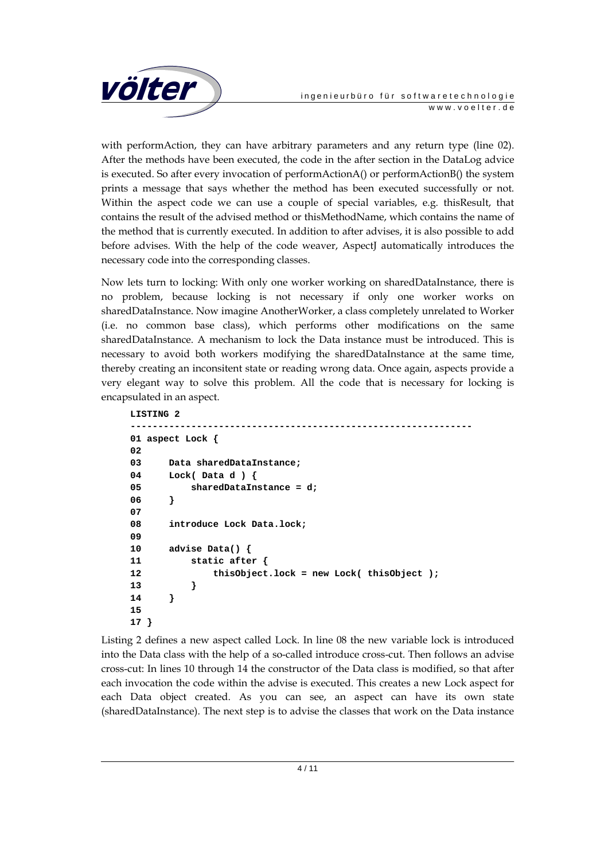

with performAction, they can have arbitrary parameters and any return type (line 02). After the methods have been executed, the code in the after section in the DataLog advice is executed. So after every invocation of performActionA() or performActionB() the system prints a message that says whether the method has been executed successfully or not. Within the aspect code we can use a couple of special variables, e.g. thisResult, that contains the result of the advised method or thisMethodName, which contains the name of the method that is currently executed. In addition to after advises, it is also possible to add before advises. With the help of the code weaver, AspectJ automatically introduces the necessary code into the corresponding classes.

Now lets turn to locking: With only one worker working on sharedDataInstance, there is no problem, because locking is not necessary if only one worker works on sharedDataInstance. Now imagine AnotherWorker, a class completely unrelated to Worker (i.e. no common base class), which performs other modifications on the same sharedDataInstance. A mechanism to lock the Data instance must be introduced. This is necessary to avoid both workers modifying the sharedDataInstance at the same time, thereby creating an inconsitent state or reading wrong data. Once again, aspects provide a very elegant way to solve this problem. All the code that is necessary for locking is encapsulated in an aspect.

```
LISTING 2 
-------------------------------------------------------------- 
01 aspect Lock { 
02 
03 Data sharedDataInstance; 
04 Lock( Data d ) { 
05 sharedDataInstance = d; 
06 } 
07 
08 introduce Lock Data.lock; 
09 
10 advise Data() { 
11 static after { 
12 thisObject.lock = new Lock( thisObject ); 
13 } 
14 } 
15 
17 }
```
Listing 2 defines a new aspect called Lock. In line 08 the new variable lock is introduced into the Data class with the help of a so-called introduce cross-cut. Then follows an advise cross-cut: In lines 10 through 14 the constructor of the Data class is modified, so that after each invocation the code within the advise is executed. This creates a new Lock aspect for each Data object created. As you can see, an aspect can have its own state (sharedDataInstance). The next step is to advise the classes that work on the Data instance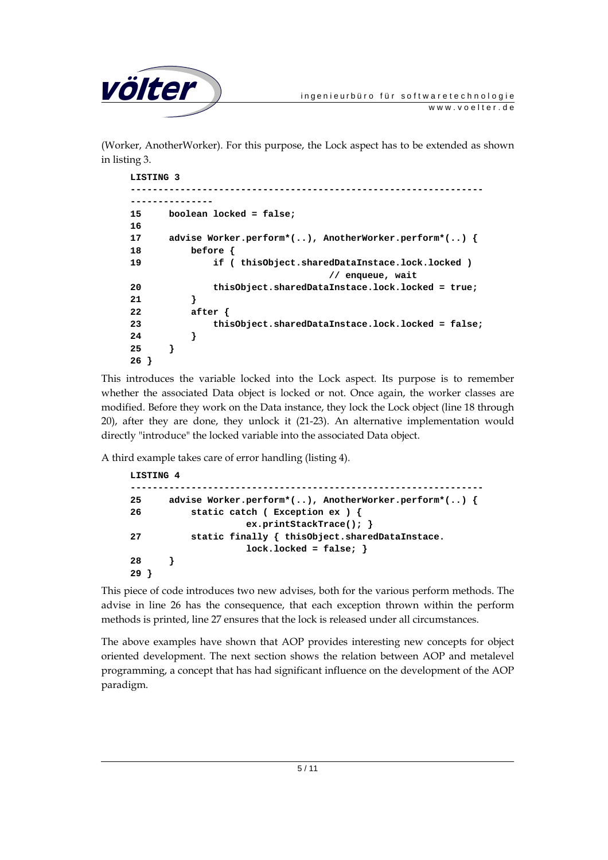

(Worker, AnotherWorker). For this purpose, the Lock aspect has to be extended as shown in listing 3.

```
LISTING 3 
----------------------------------------------------------------
--------------- 
15 boolean locked = false; 
16 
17 advise Worker.perform*(..), AnotherWorker.perform*(..) { 
18 before { 
19 if ( thisObject.sharedDataInstace.lock.locked ) 
                                // enqueue, wait 
20 thisObject.sharedDataInstace.lock.locked = true; 
21 } 
22 after { 
23 thisObject.sharedDataInstace.lock.locked = false; 
24 } 
25 } 
26 }
```
This introduces the variable locked into the Lock aspect. Its purpose is to remember whether the associated Data object is locked or not. Once again, the worker classes are modified. Before they work on the Data instance, they lock the Lock object (line 18 through 20), after they are done, they unlock it (21-23). An alternative implementation would directly "introduce" the locked variable into the associated Data object.

A third example takes care of error handling (listing 4).

```
LISTING 4 
                                    ---------------------------------------------------------------- 
25 advise Worker.perform*(..), AnotherWorker.perform*(..) { 
26 static catch ( Exception ex ) { 
                       ex.printStackTrace(); } 
27 static finally { thisObject.sharedDataInstace. 
                       lock.locked = false; } 
28 } 
29 }
```
This piece of code introduces two new advises, both for the various perform methods. The advise in line 26 has the consequence, that each exception thrown within the perform methods is printed, line 27 ensures that the lock is released under all circumstances.

The above examples have shown that AOP provides interesting new concepts for object oriented development. The next section shows the relation between AOP and metalevel programming, a concept that has had significant influence on the development of the AOP paradigm.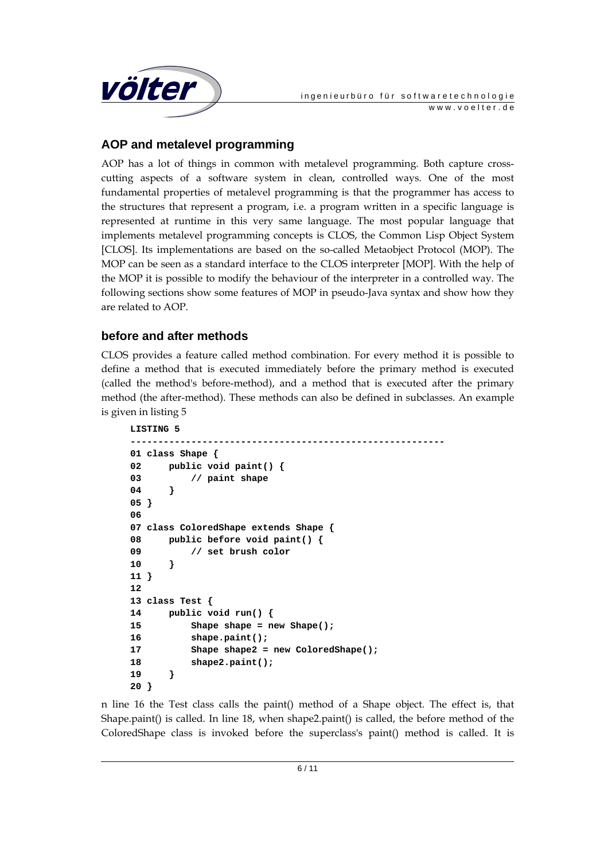

# **AOP and metalevel programming**

AOP has a lot of things in common with metalevel programming. Both capture crosscutting aspects of a software system in clean, controlled ways. One of the most fundamental properties of metalevel programming is that the programmer has access to the structures that represent a program, i.e. a program written in a specific language is represented at runtime in this very same language. The most popular language that implements metalevel programming concepts is CLOS, the Common Lisp Object System [CLOS]. Its implementations are based on the so-called Metaobject Protocol (MOP). The MOP can be seen as a standard interface to the CLOS interpreter [MOP]. With the help of the MOP it is possible to modify the behaviour of the interpreter in a controlled way. The following sections show some features of MOP in pseudo-Java syntax and show how they are related to AOP.

## **before and after methods**

CLOS provides a feature called method combination. For every method it is possible to define a method that is executed immediately before the primary method is executed (called the method's before-method), and a method that is executed after the primary method (the after-method). These methods can also be defined in subclasses. An example is given in listing 5

```
LISTING 5 
--------------------------------------------------------- 
01 class Shape { 
02 public void paint() { 
03 // paint shape 
04 } 
05 } 
06 
07 class ColoredShape extends Shape { 
08 public before void paint() { 
09 // set brush color 
10 } 
11 } 
12 
13 class Test { 
14 public void run() { 
15 Shape shape = new Shape(); 
16 shape.paint(); 
17 Shape shape2 = new ColoredShape(); 
18 shape2.paint(); 
19 }
```
**20 }** 

n line 16 the Test class calls the paint() method of a Shape object. The effect is, that Shape.paint() is called. In line 18, when shape2.paint() is called, the before method of the ColoredShape class is invoked before the superclass's paint() method is called. It is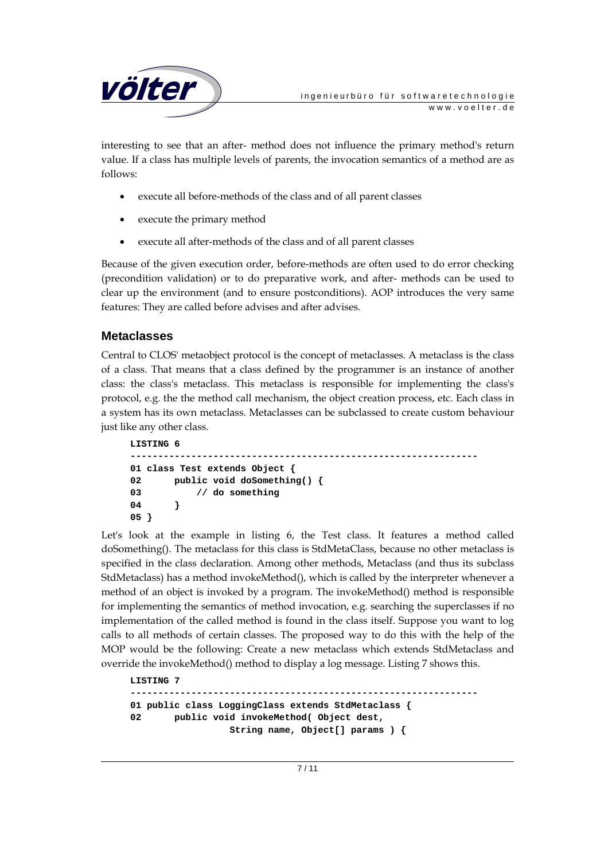

interesting to see that an after- method does not influence the primary method's return value. If a class has multiple levels of parents, the invocation semantics of a method are as follows:

- execute all before-methods of the class and of all parent classes
- execute the primary method
- execute all after-methods of the class and of all parent classes

Because of the given execution order, before-methods are often used to do error checking (precondition validation) or to do preparative work, and after- methods can be used to clear up the environment (and to ensure postconditions). AOP introduces the very same features: They are called before advises and after advises.

#### **Metaclasses**

Central to CLOS' metaobject protocol is the concept of metaclasses. A metaclass is the class of a class. That means that a class defined by the programmer is an instance of another class: the class's metaclass. This metaclass is responsible for implementing the class's protocol, e.g. the the method call mechanism, the object creation process, etc. Each class in a system has its own metaclass. Metaclasses can be subclassed to create custom behaviour just like any other class.

```
LISTING 6 
--------------------------------------------------------------- 
01 class Test extends Object { 
02 public void doSomething() { 
03 // do something 
04 } 
05 }
```
Let's look at the example in listing 6, the Test class. It features a method called doSomething(). The metaclass for this class is StdMetaClass, because no other metaclass is specified in the class declaration. Among other methods, Metaclass (and thus its subclass StdMetaclass) has a method invokeMethod(), which is called by the interpreter whenever a method of an object is invoked by a program. The invokeMethod() method is responsible for implementing the semantics of method invocation, e.g. searching the superclasses if no implementation of the called method is found in the class itself. Suppose you want to log calls to all methods of certain classes. The proposed way to do this with the help of the MOP would be the following: Create a new metaclass which extends StdMetaclass and override the invokeMethod() method to display a log message. Listing 7 shows this.

```
LISTING 7 
--------------------------------------------------------------- 
01 public class LoggingClass extends StdMetaclass { 
02 public void invokeMethod( Object dest, 
                      String name, Object[] params ) {
```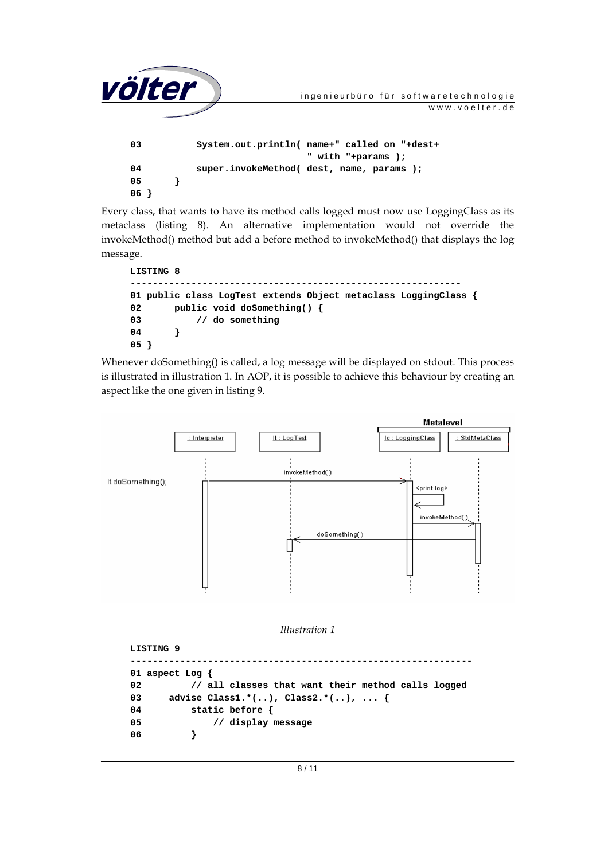| völter |  | ingenieurbüro für softwaretechnologie        |                |
|--------|--|----------------------------------------------|----------------|
|        |  |                                              | www.voelter.de |
|        |  |                                              |                |
| 03     |  | System.out.println( name+" called on "+dest+ |                |
|        |  | " with "+params );                           |                |
| 04     |  | super.invokeMethod(dest, name, params);      |                |
| 05     |  |                                              |                |
| 06     |  |                                              |                |

Every class, that wants to have its method calls logged must now use LoggingClass as its metaclass (listing 8). An alternative implementation would not override the invokeMethod() method but add a before method to invokeMethod() that displays the log message.

```
LISTING 8 
------------------------------------------------------------ 
01 public class LogTest extends Object metaclass LoggingClass { 
02 public void doSomething() { 
03 // do something 
04 } 
05 }
```
Whenever doSomething() is called, a log message will be displayed on stdout. This process is illustrated in illustration 1. In AOP, it is possible to achieve this behaviour by creating an aspect like the one given in listing 9.



*Illustration 1* 

```
LISTING 9 
-------------------------------------------------------------- 
01 aspect Log { 
02 // all classes that want their method calls logged 
03 advise Class1.*(..), Class2.*(..), ... { 
04 static before { 
05 // display message 
06 }
```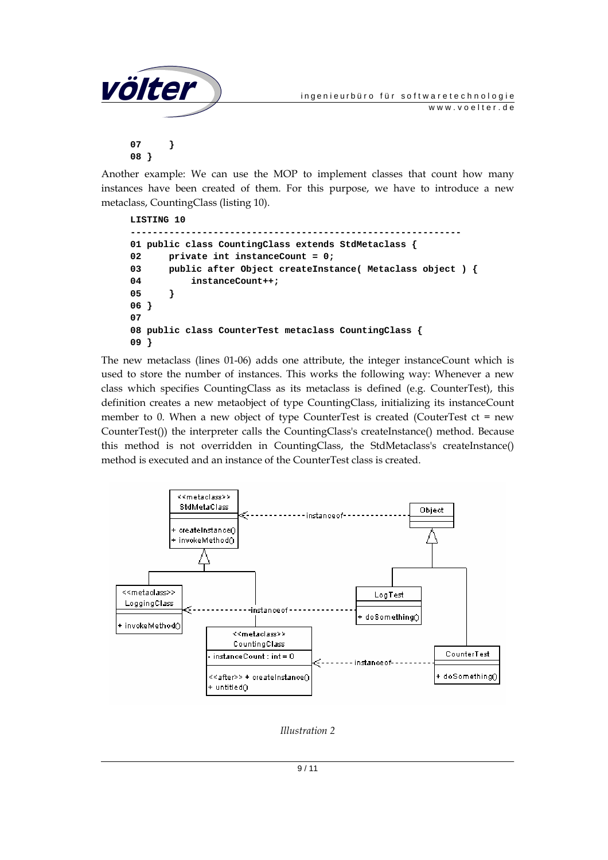

Another example: We can use the MOP to implement classes that count how many instances have been created of them. For this purpose, we have to introduce a new metaclass, CountingClass (listing 10).

```
LISTING 10 
------------------------------------------------------------ 
01 public class CountingClass extends StdMetaclass { 
02 private int instanceCount = 0; 
03 public after Object createInstance( Metaclass object ) { 
04 instanceCount++; 
05 } 
06 } 
07 
08 public class CounterTest metaclass CountingClass { 
09 }
```
The new metaclass (lines 01-06) adds one attribute, the integer instanceCount which is used to store the number of instances. This works the following way: Whenever a new class which specifies CountingClass as its metaclass is defined (e.g. CounterTest), this definition creates a new metaobject of type CountingClass, initializing its instanceCount member to 0. When a new object of type CounterTest is created (CouterTest ct = new CounterTest()) the interpreter calls the CountingClass's createInstance() method. Because this method is not overridden in CountingClass, the StdMetaclass's createInstance() method is executed and an instance of the CounterTest class is created.



*Illustration 2*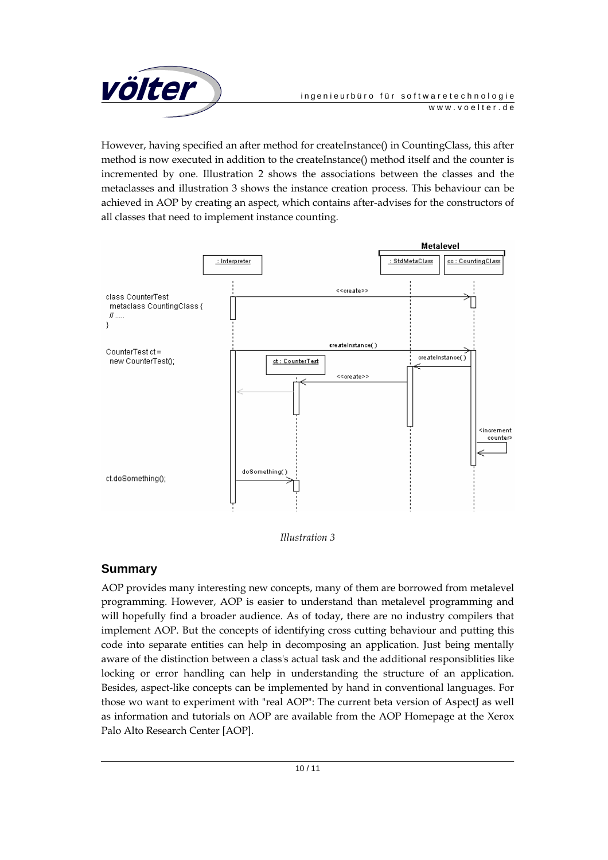

However, having specified an after method for createInstance() in CountingClass, this after method is now executed in addition to the createInstance() method itself and the counter is incremented by one. Illustration 2 shows the associations between the classes and the metaclasses and illustration 3 shows the instance creation process. This behaviour can be achieved in AOP by creating an aspect, which contains after-advises for the constructors of all classes that need to implement instance counting.



*Illustration 3* 

## **Summary**

AOP provides many interesting new concepts, many of them are borrowed from metalevel programming. However, AOP is easier to understand than metalevel programming and will hopefully find a broader audience. As of today, there are no industry compilers that implement AOP. But the concepts of identifying cross cutting behaviour and putting this code into separate entities can help in decomposing an application. Just being mentally aware of the distinction between a class's actual task and the additional responsiblities like locking or error handling can help in understanding the structure of an application. Besides, aspect-like concepts can be implemented by hand in conventional languages. For those wo want to experiment with "real AOP": The current beta version of AspectJ as well as information and tutorials on AOP are available from the AOP Homepage at the Xerox Palo Alto Research Center [AOP].